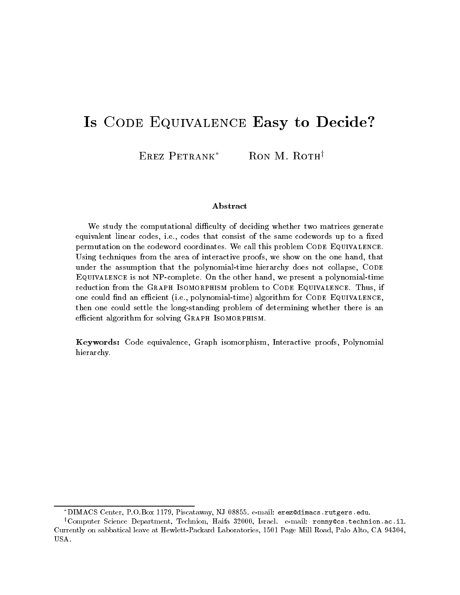# Is CODE EQUIVALENCE Easy to Decide?

EREZ PETRANK<sup>\*</sup> RON M. ROTH<sup>†</sup>

#### **A** bstract

We study the computational difficulty of deciding whether two matrices generate equivalent inical codes, i.e., codes that consist of the same codewords up to a mxcu permutation on the codeword coordinates. We can this problem CODE-Equivalence. Using techniques from the area of interactive proofs, we show on the one hand, that under the assumption that the polynomialtime hierarchy does not collapse Code  $\Box$ VUTVALENCE IS NOT NT COMPLETE. ON the other hand, we present a porthomial time reduction from the Graph Isomorphism problem to Code Equivalence- Thus ifone could mid an emclent tre.. Dorynomial time) algorithm for CODE Equivalence. then one could settle the long-standing problem of determining whether there is an emerent algorithmi for solving Gitarin Isomonfinsm.

Keywords: Code equivalence, Graph isomorphism, Interactive proofs, Polynomial hierarchy.

DIMACS Center, P.O.BOX 1179, Piscataway, NJ 08899. e-mail: erezwaimacs.rutgers.edu.

<sup>&#</sup>x27;Computer Science Department, Iechnion, Haifa 32000, Israel. e-mail: ronnyccs.technion.ac.il. currently on sabbatical leaves at Hewletter Laboratories - Alto Calto Calto Calto Calto Calto Calto Calto Calt USA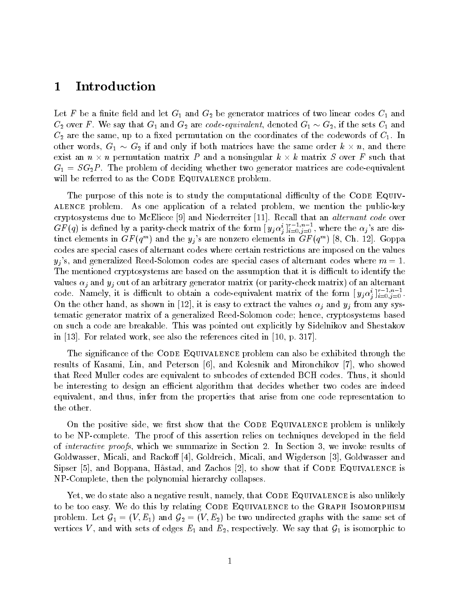## Introduction

Let F be a finite field and let  $G_1$  and  $G_2$  be generator matrices of two linear codes  $C_1$  and  $\mathbb{C}_2$  over F . we say that  $\mathbb{G}_1$  and  $\mathbb{G}_2$  are code-equivalent, denoted  $\mathbb{G}_1 \simeq \mathbb{G}_2,$  if the sets  $\mathbb{C}_1$  and re are the same of the same and control permutation of the codewords of the codewords of respectively of the c other words,  $G_1 \sim G_2$  if and only if both matrices have the same order  $k \times n$ , and there exist an  $n \times n$  permutation matrix P and a nonsingular  $k \times k$  matrix S over F such that  $G_1 = SG_2P$ . The problem of deciding whether two generator matrices are code-equivalent will be referred to as the CODE EQUIVALENCE problem.

The purpose of this note is to study the computational difficulty of the CODE EQUIValence problem As one application of a related problem- we mention the publickey cryptosystems due to McEliece  $[9]$  and Niederreiter [11]. Recall that an *alternant code* over GF (q) is defined by a parity-check matrix of the form  $[y_j\alpha_j^*]_{i=0,j=0}$  , where the  $\alpha_j$  s are distinct elements in GF  $(q^{\ldots})$  and the  $y_j$  s are nonzero elements in GF  $(q^{\ldots})$  [8, Cn. 12]. Goppa codes are special cases of alternant codes where certain restrictions are imposed on the values yj s- and generalized ReedSolomon codes are special cases of alternant codes where <sup>m</sup> The mentioned cryptosystems are based on the assumption that it is difficult to identify the values i and yj out of an arbitrary generator matrix of an alternative matrix of an alternanty of an alternativ code. Namely, it is difficult to obtain a code-equivalent matrix of the form  $[y_j\alpha_j^*]_{i=0,j=0}$  . On the other hand- it is easy to easy to extract the values in the values of the values  $\eta$  from any system tematic generator matrix of a generalized ReedSolomon code hence- cryptosystems based on such a code are breakable. This was pointed out explicitly by Sidelnikov and Shestakov in Forme also the references cited work-the references cited in  $\Gamma$  references cited in  $\Gamma$ 

The significance of the CODE EQUIVALENCE problem can also be exhibited through the results of Kasami- Lin- and Peterson - and Kolesnik and Mironchikov - who showed that Reed Muller codes are equivalent to subcodes of extended BCH codes Thus- it should be interesting to design an efficient algorithm that decides whether two codes are indeed equivalent- and thus- infer from the properties that arise from one code representation to the other

On the positive side- we rst show that the Code Equivalence problem is unlikely to be NP-complete. The proof of this assertion relies on techniques developed in the field of interactive proofs-we summarize in Section - we invoke results of the Section - we invoke results of the Se goldwasser - Micali-Micali-Micali-Little - Micali-Micali-Micali-Micali-Micali-Micali-Micali-Micali-Micali-Mica sipare if the equivalent contracts in the show that if  $\alpha$  is and  $\alpha$  is the  $\alpha$  is the Equivalence is that NPComplete- then the polynomial hierarchy collapses

 $\mathcal{L}$  , we do state also a negative result-definitely-is also is also under the code  $\mathcal{L}$ to be too easy. We do this by relating CODE EQUIVALENCE to the GRAPH ISOMORPHISM problem. Let  $G_1 = (V, E_1)$  and  $G_2 = (V, E_2)$  be two undirected graphs with the same set of vertices V, and with sets of edges  $E_1$  and  $E_2$ , respectively. We say that  $G_1$  is isomorphic to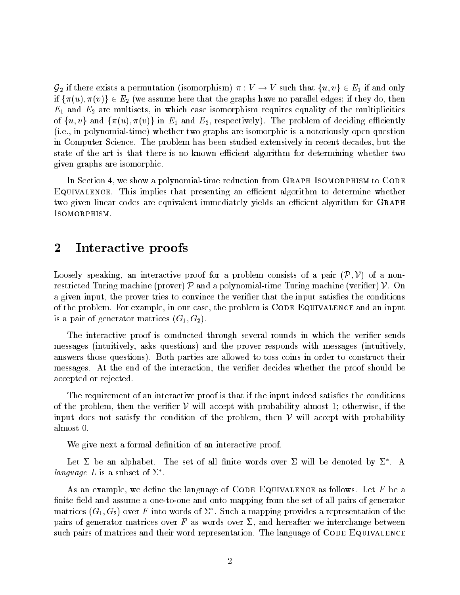${\cal G}_2$  if there exists a permutation (isomorphism)  $\pi:V\to V$  such that  $\{u,v\}\in E_1$  if and only if  $\{\pi(u),\pi(v)\}\in E_2$  (we assume here that the graphs have no parallel edges; if they do, then E are in Eq. which case is the straight requires that is the multiplication of the multiplicity of the multiplicities of the multiplicities of the multiplicities of the multiplicities of the multiplicities of the multiplic of  $\{u, v\}$  and  $\{\pi(u), \pi(v)\}$  in  $E_1$  and  $E_2$ , respectively). The problem of deciding efficiently ie- in polynomialtime whether two graphs are isomorphic is a notoriously open question in Computer Science The problem has been studied extensively in recent decades- but the state of the art is that there is no known efficient algorithm for determining whether two given graphs are isomorphic

In Section - we show a polynomialtime reduction from Graph Isomorphism to Code EQUIVALENCE. This implies that presenting an efficient algorithm to determine whether two given linear codes are equivalent immediately yields an efficient algorithm for GRAPH ISOMORPHISM.

### 2 Interactive proofs

Loosely speaking, an interactive proof for a problem consists of a pair  $(\mathcal{P}, \mathcal{V})$  of a nonrestricted Turing machine (prover)  $\mathcal P$  and a polynomial-time Turing machine (verifier)  $\mathcal V$ . On a given input- the prover tries to convince the verier that the input satises the conditions of the problem For example- in our case- the problem is Code Equivalence and an input  $\frac{1}{2}$  a pair of generator matrices  $\{0, 1, 0, 2\}$ .

The interactive proof is conducted through several rounds in which the verifier sends messages intuitively- asks questions and the prover responds with messages intuitivelyanswers those questions). Both parties are allowed to toss coins in order to construct their messages At the the interaction-the interaction- the compact whether the proof should be accepted or rejected

The requirement of an interactive proof is that if the input indeed satisfies the conditions of the problem, then the verifier  $V$  will accept with probability almost 1; otherwise, if the input does not satisfy the condition of the problem, then  $\mathcal V$  will accept with probability almost

We give next a formal definition of an interactive proof.

Let  $\Delta$  be all alphabet. The set of all niftle words over  $\Delta$  will be denoted by  $\Delta$  . A *language*  $L$  is a subset of  $L$  .

As an example- we dene the language of Code Equivalence as follows Let <sup>F</sup> be a finite field and assume a one-to-one and onto mapping from the set of all pairs of generator matrices ( $\mathrm{G}_1, \mathrm{G}_2$ ) over  $r$  into words of  $\varDelta$  . Such a mapping provides a representation of the pairs of generator matrices over <sup>F</sup> as words over - and hereafter we interchange between such pairs of matrices and their word representation. The language of CODE EQUIVALENCE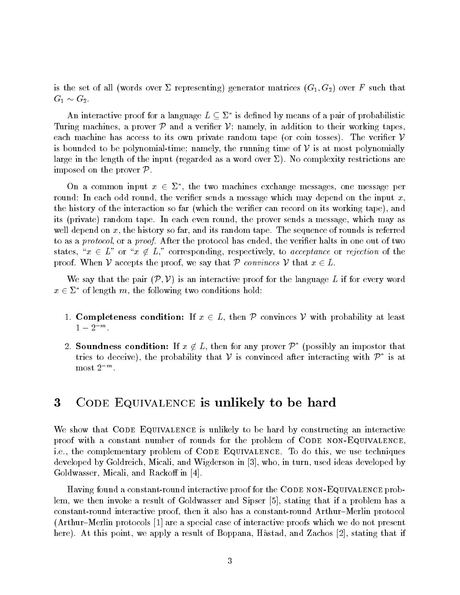words over  $\{w_1, w_2, w_3, w_4, w_5, w_6, w_7, w_8, w_9, w_1, w_2, w_3, w_4, w_5, w_6, w_7, w_7, w_8, w_9, w_9, w_1, w_2, w_3, w_4, w_5, w_6, w_7, w_7, w_8, w_9, w_9, w_1, w_2, w_3, w_4, w_5, w_6, w_7, w_7, w_8, w_9, w_9, w_1, w_2, w_3, w_4, w_5, w_6, w_7, w_7, w_8, w_9$  $G_1 \sim G_2$ .

An interactive proof for a language  $L \subseteq \Sigma^*$  is defined by means of a pair of probabilistic Turing machines, a prover  $\mathcal P$  and a verifier  $\mathcal V$ ; namely, in addition to their working tapes, each machine has access to its own private random tape (or coin tosses). The verifier  $\mathcal V$ is bounded to be polynomial-time; namely, the running time of  $\mathcal V$  is at most polynomially large in the length of the input regarded as a word over No complexity restrictions are imposed on the prover  $P$ .

On a common input  $x \in \Sigma^*$ , the two machines exchange messages, one message per round- the veries in a message which may depend on the verifies  $\lambda$  message which may depend only which may the history of the interaction so far which the verier can record on its working tape- and it its control the prover sends a message-the prover sends a message-the material material may assume that the were the posses for the far-the sequence of the sequence of random tape The sequence of rounds is referred to to as a protocol- or a proof After the protocol has ended- the verier halts in one out of two states, " $x \in L^{\infty}$  or " $x \notin L$ ," corresponding, respectively, to *acceptance* or *rejection* of the proof. When V accepts the proof, we say that P convinces V that  $x \in L$ .

of. When  $\mathcal V$  accepts the proof, we say that  $\mathcal P$  *convinces*  $\mathcal V$  that  $x \in L$ .<br>We say that the pair  $(\mathcal P, \mathcal V)$  is an interactive proof for the language  $L$  if for every word  $x \in \Sigma^*$  of length m, the following two conditions hold:

- 1. Completeness condition: If  $x \in L$ , then P convinces V with probability at least  $1-2^{-m}$ .
- 2. Soundness condition: If  $x \notin L$ , then for any prover  $\mathcal{P}^{*}$  (possibly an impostor that tries to deceive), the probability that V is convinced after interacting with  $\mathcal{P}^*$  is at  $\max Z$  most  $\sum$

#### $\bf{3}$ CODE EQUIVALENCE is unlikely to be hard

We show that CODE EQUIVALENCE is unlikely to be hard by constructing an interactive proof with a constant number of rounds for the problem of CODE NON-EQUIVALENCE ie- the complementary problem of Code Equivalence To do this- we use techniques and who per version is the communication in a problem in the state of the state of the state  $\mathbb{P}^1$ Goldwasser- Micali- and Racko in

Having found a constant-round interactive proof for the CODE NON-EQUIVALENCE problem- we then invoke a result of Goldwasser and Sipser - stating that if a problem has a constant interactive proof-action interactive proof-action problem interactive protocol. Then it also has a co Arthur Merlin protocols  $\mathbf 1$  are a special case of interactive proofs which we do not proofs which we do not present proofs which we do not present proofs which we do not present proofs which we do not problem with whi here a result of a result of Boppana-Boppania-Boppane-Boppane-Boppane-Boppane-Boppane-Boppane-Boppane-Boppane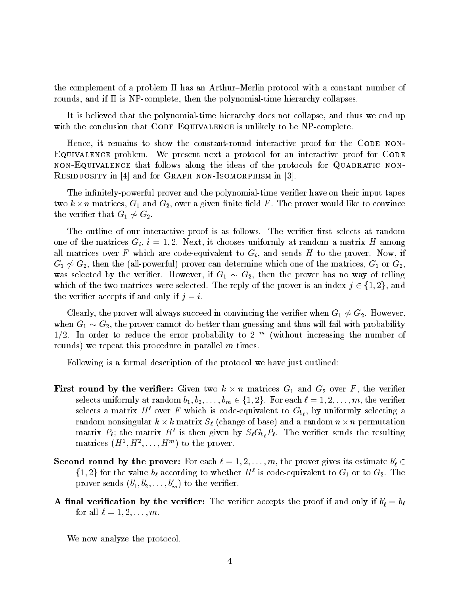the complement of a problem  $\Pi$  has an Arthur-Merlin protocol with a constant number of rounds- and if is NPcomplete- then the polynomialtime hierarchy collapses

It is believed that the polynomialtime hierarchy does not collapse- and thus we end up with the conclusion that CODE EQUIVALENCE is unlikely to be NP-complete.

Hence- it remains to show the constantround interactive proof for the Code non EQUIVALENCE problem. We present next a protocol for an interactive proof for CODE nonEquivalence that follows along the ideas of the protocols for Quadratic non RESIDUOSITY in  $[4]$  and for GRAPH NON-ISOMORPHISM in  $[3]$ .

The infinitely-powerful prover and the polynomial-time verifier have on their input tapes two  $k \times n$  matrices,  $G_1$  and  $G_2$ , over a given finite field F . The prover would like to convince the verifier that  $G_1 \not\sim G_2$ .

The outline of our interactive proof is as follows. The verifier first selects at random one of the matrices Gift . I have a seed to choose uniformly at random a matrices and matrices at  $\alpha$ all matrices over F which are code of movement to Gift are codes to the prover from the prover I to the prove  $G_1 \not\sim G_2$ , then the (all-powerful) prover can determine which one of the matrices,  $G_1$  or  $G_2$ , was selected by the verifier. However, if  $G_1 \sim G_2$ , then the prover has no way of telling which of the two matrices were selected. The reply of the prover is an index  $j \in \{1,2\}$ , and the verifier accepts if and only if  $j = i$ .

Clearly, the prover will always succeed in convincing the verifier when  $G_1 \nsim G_2$ . However, when  $G_1 \sim G_2$ , the prover cannot do better than guessing and thus will fail with probability  $1/2$ . In order to reduce the error probability to  $2$  – (without increasing the number of  $\,$ rounds) we repeat this procedure in parallel  $m$  times.

Following is a formal description of the protocol we have just outlined

- **First round by the verifier:** Given two  $k \times n$  matrices  $G_1$  and  $G_2$  over F, the verifier selects uniformly at random  $b_1, b_2, \ldots, b_m \in \{1,2\}$ . For each  $\ell = 1,2,\ldots, m,$  the verifier selects a matrix  $H$  over  $F$  which is code-equivalent to  $\mathrm{G}_{b_f},$  by uniformly selecting a random nonsingular  $k\times k$  matrix  $S_\ell$  (change of base) and a random  $n\times n$  permutation matrix  $P_{\ell}$ ; the matrix  $H^+$  is then given by  $\partial_{\ell}G_{b_{\ell}}P_{\ell}$ . The verifier sends the resulting matrices  $(H^-, H^-, \ldots, H^+)$  to the prover.
- Second round by the prover: For each  $\ell = 1, 2, \ldots, m$ , the prover gives its estimate  $b'_\ell \in$  $\{1,2\}$  for the value  $b_{\ell}$  according to whether  $H^{\ell}$  is code-equivalent to  $G_1$  or to  $G_2$ . The prover senas  $\{o_1, o_2, \ldots, o_m\}$  to the veriner.
- A final verification by the verifier: The verifier accepts the proof if and only if  $b_\ell = b_\ell$ for all  $\ell = 1, 2, \ldots, m$ .

We now analyze the protocol.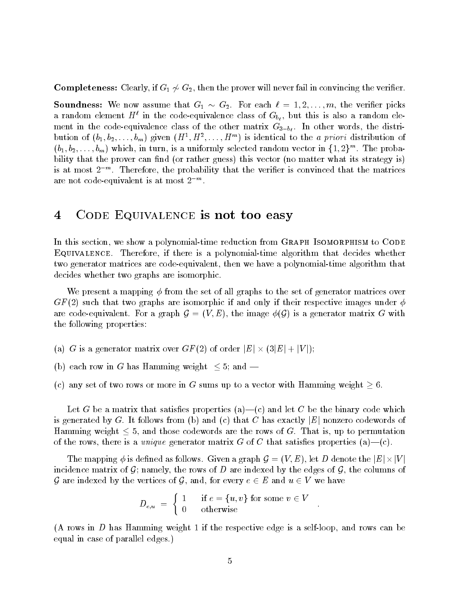**Completeness:** Clearly, if  $G_1 \not\sim G_2$ , then the prover will never fail in convincing the verifier.

**Soundness:** we now assume that  $G_1 \sim G_2$ . For each  $\ell = 1, 2, ..., m$ , the verifier picks a random element  $H^+$  in the code-equivalence class of  $\mathrm{G}_{b_\ell},$  but this is also a random elemeans we code code  $\mathbf{1}$  in the distribution of the other matrix  $\mathbf{0}$  ,  $\mathbf{0}$   $\mathbf{0}$  ,  $\mathbf{0}$  and  $\mathbf{0}$  and  $\mathbf{0}$  and  $\mathbf{0}$  and  $\mathbf{0}$ bution of  $(v_1, v_2, \ldots, v_m)$  given  $(H^-, H^-, \ldots, H^{\times})$  is identical to the a priori distribution of  $(b_1, b_2, \ldots, b_m)$  which, in turn, is a uniformly selected random vector in  $\{1,2\}^m$ . The probaor rather that the can not the success  $\lambda$  and  $\lambda$  its strategy is strategy in the strategy in the strategy is is at most  $\mathbb Z$  ". Interefore, the probability that the veriner is convinced that the matrices are not code-equivalent is at most  $\boldsymbol{z}$  . The model is at most  $\boldsymbol{z}$ 

### 4 CODE EQUIVALENCE is not too easy

In this section- we show a polynomialtime reduction from Graph Isomorphism to Code Equivalence Therefore- if there is a polynomialtime algorithm that decides whether two generator matrices are codeequivalent- then we have a polynomialtime algorithm that decides whether two graphs are isomorphic

We present a mapping  $\phi$  from the set of all graphs to the set of generator matrices over  $\mathcal{L} = \{ - \}$  that two graphs are interesting in the independent in the independent in the interest  $\mathcal{L}$ are code-equivalent. For a graph  $G = (V, E)$ , the image  $\phi(G)$  is a generator matrix G with the following properties

- (a) G is a generator matrix over  $GF(2)$  of order  $|E| \times (3|E| + |V|);$
- (b) each row in G has Hamming weight  $\leq 5$ ; and —
- (c) any set of two rows or more in G sums up to a vector with Hamming weight  $\geq 6$ .

Let <sup>G</sup> be a matrix that satises properties a c and let <sup>C</sup> be the binary code which is generated by G. It follows from (b) and (c) that  $C$  has exactly  $|E|$  nonzero codewords of Hamming weight  $\leq 5$ , and those codewords are the rows of G. That is, up to permutation the complete the rows-complete generator matrix and the complete satisfies are properties (ii) and (

The mapping  $\phi$  is defined as follows. Given a graph  $\mathcal{G} = (V,E),$  let  $D$  denote the  $|E| \times |V|$ incidence matrix of G; namely, the rows of D are indexed by the edges of G, the columns of G are indexed by the vertices of G, and, for every  $e \in E$  and  $u \in V$  we have

$$
D_{e,u} \;=\; \left\{\begin{array}{ll} 1 & \text{ if } e=\{u,v\} \text{ for some } v\in V \\ 0 & \text{ otherwise } \end{array}\right. \;.
$$

 A rows in <sup>D</sup> has Hamming weight if the respective edge is a selfloop- and rows can be equal in case of parallel edges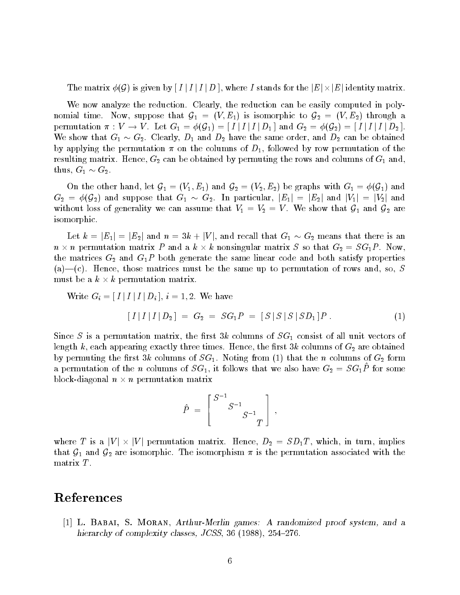The matrix  $\phi(\mathcal{G})$  is given by  $[I \mid I \mid D\,],$  where  $I$  stands for the  $|E| \times |E|$  identity matrix.

We now analyze the reduction Clearly- the reduction can be easily computed in poly nomial time. Now, suppose that  $G_1 = (V, E_1)$  is isomorphic to  $G_2 = (V, E_2)$  through a permutation  $\pi: V \to V$ . Let  $G_1 = \phi(\mathcal{G}_1) = \lfloor I \rfloor I \rfloor I \rfloor D_1$  and  $G_2 = \phi(\mathcal{G}_2) = \lfloor I \rfloor I \rfloor I \rfloor D_2$  . We show that  $G_1 \sim G_2$ . Clearly,  $D_1$  and  $D_2$  have the same order, and  $D_2$  can be obtained by applying the permutation - on the columns of D- followed by row permutation of the resulting matrix Hence-I was also and columnation of Financial Columns of G and columns of WI and al  $\text{thus}, \ \text{G}_1 \sim \text{G}_2.$ 

On the other hand, let  $G_1 = (V_1, E_1)$  and  $G_2 = (V_2, E_2)$  be graphs with  $G_1 = \phi(G_1)$  and  $G_2 \ = \ \phi({\cal G}_2)$  and suppose that  $G_1 \ \sim \ G_2$ . In particular,  $|E_1| \ = \ |E_2|$  and  $|V_1| \ = \ |V_2|$  and without loss of generality we can assume that  $V_1 = V_2 = V$ . We show that  $G_1$  and  $G_2$  are isomorphic

Let  $k = |E_1| = |E_2|$  and  $n = 3k + |V|$ , and recall that  $G_1 \sim G_2$  means that there is an  $n \times n$  permutation matrix P and a  $k \times k$  nonsingular matrix S so that  $G_2 = SG_1P$ . Now, the matrices  $G_2$  and  $G_1P$  both generate the same linear code and both satisfy properties are the same up the same up to the same up to permutation of the same up to permutation of rows and the same of  $\omega$ must be a  $k \times k$  permutation matrix.

Write  $G_i = [I | I | I | D_i], i = 1, 2$ . We have  $[I | I | I | D_2] = G_2 = SG_1P = [S | S | S | SD_1]P$ .

since S is a permutation matrix-of the results of SG consisted all unit vectors of the constant of all unit ve each appearing the restriction that the restriction three times Hence-California three times  $\alpha$  are obtained  $\alpha$  permuting that the rst columns of Sq Notice from  $\alpha$  form  $\alpha$  form the n columns of G  $_{2}$  form  $\alpha$ a permutation of the n columns of  $\overline{\rho}G_1$ , it follows that we also have  $G_2 = \overline{\rho}G_1I$  for some block-diagonal  $n \times n$  permutation matrix

 $(1)$ 

$$
\hat{P} \; = \; \left[ \begin{array}{c} {S^{-1}} \\ {S^{-1}} \\ {S^{-1}} \\ {T} \end{array} \right] \; ,
$$

where T is a  $|V| \times |V|$  permutation matrix. Hence,  $D_2 = SD_1T$ , which, in turn, implies that  $\mathcal{G}_1$  and  $\mathcal{G}_2$  are isomorphic. The isomorphism  $\pi$  is the permutation associated with the matrix <sup>T</sup>

### References

 L Babai- S Moran- ArthurMerlin games A randomized proof system- and a hierarchy of complexity classes- JCSS- 

-